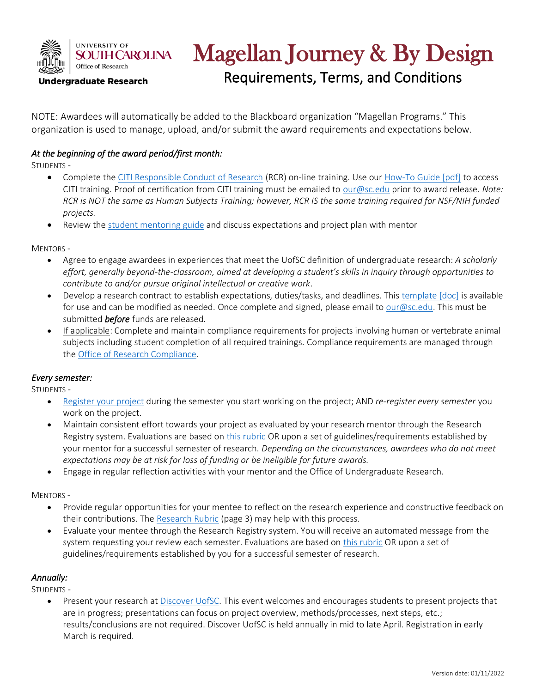

# Magellan Journey & By Design

Requirements, Terms, and Conditions

NOTE: Awardees will automatically be added to the Blackboard organization "Magellan Programs." This organization is used to manage, upload, and/or submit the award requirements and expectations below.

## *At the beginning of the award period/first month:*

STUDENTS -

- Complete th[e CITI Responsible Conduct of Research](https://about.citiprogram.org/en/homepage/) (RCR) on-line training. Use our [How-To Guide \[pdf\]](https://sc.edu/about/offices_and_divisions/undergraduate_research/documents/cititraininghowto.pdf) to access CITI training. Proof of certification from CITI training must be emailed to [our@sc.edu](mailto:our@sc.edu) prior to award release. *Note: RCR is NOT the same as Human Subjects Training; however, RCR IS the same training required for NSF/NIH funded projects.*
- Review the [student mentoring guide](https://www.sc.edu/about/offices_and_divisions/undergraduate_research/documents/student-mentoring-guide.pdf) and discuss expectations and project plan with mentor

MENTORS -

- Agree to engage awardees in experiences that meet the UofSC definition of undergraduate research: *A scholarly effort, generally beyond-the-classroom, aimed at developing a student's skills in inquiry through opportunities to contribute to and/or pursue original intellectual or creative work*.
- Develop a research contract to establish expectations, duties/tasks, and deadlines. This [template \[doc\]](https://www.sc.edu/about/offices_and_divisions/undergraduate_research/documents/researchcontract.docx) is available for use and can be modified as needed. Once complete and signed, please email t[o our@sc.edu.](mailto:our@sc.edu) This must be submitted *before* funds are released.
- If applicable: Complete and maintain compliance requirements for projects involving human or vertebrate animal subjects including student completion of all required trainings. Compliance requirements are managed through the [Office of Research Compliance.](https://www.sc.edu/about/offices_and_divisions/research_compliance/index.php)

### *Every semester:*

STUDENTS -

- [Register your project](https://sc.edu/our/researchregistry/) during the semester you start working on the project; AND *re-register every semester* you work on the project.
- Maintain consistent effort towards your project as evaluated by your research mentor through the Research Registry system. Evaluations are based o[n this rubric](https://www.sc.edu/about/offices_and_divisions/undergraduate_research/documents/research_verification.pdf) OR upon a set of guidelines/requirements established by your mentor for a successful semester of research. *Depending on the circumstances, awardees who do not meet expectations may be at risk for loss of funding or be ineligible for future awards.*
- Engage in regular reflection activities with your mentor and the Office of Undergraduate Research.

MENTORS -

- Provide regular opportunities for your mentee to reflect on the research experience and constructive feedback on their contributions. Th[e Research Rubric](https://www.sc.edu/about/offices_and_divisions/undergraduate_research/documents/research_verification.pdf) (page 3) may help with this process.
- Evaluate your mentee through the Research Registry system. You will receive an automated message from the system requesting your review each semester. Evaluations are based on [this rubric](https://www.sc.edu/about/offices_and_divisions/undergraduate_research/documents/research_verification.pdf) OR upon a set of guidelines/requirements established by you for a successful semester of research.

### *Annually:*

STUDENTS -

Present your research at [Discover UofSC.](https://www.sc.edu/about/signature_events/discover_uofsc/index.php) This event welcomes and encourages students to present projects that are in progress; presentations can focus on project overview, methods/processes, next steps, etc.; results/conclusions are not required. Discover UofSC is held annually in mid to late April. Registration in early March is required.